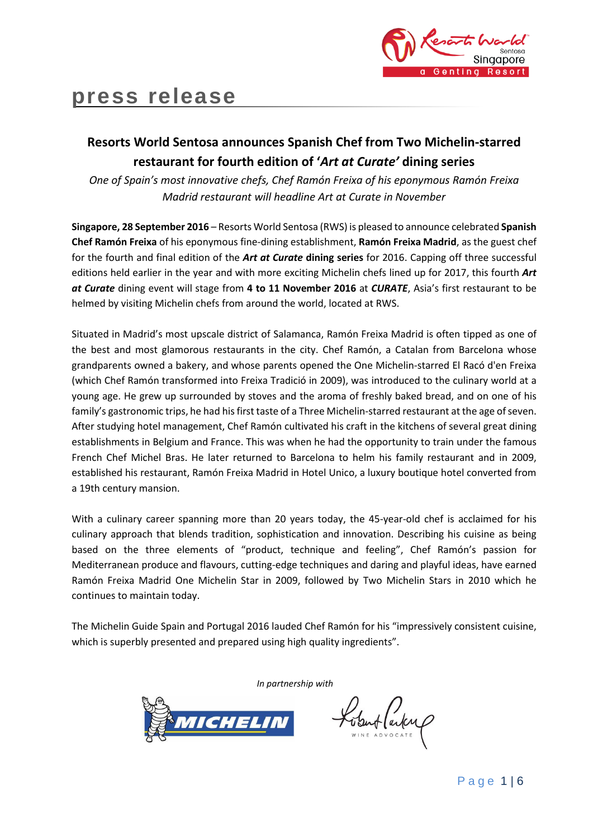

# **press release**

# **Resorts World Sentosa announces Spanish Chef from Two Michelin-starred restaurant for fourth edition of '***Art at Curate'* **dining series**

*One of Spain's most innovative chefs, Chef Ramón Freixa of his eponymous Ramón Freixa Madrid restaurant will headline Art at Curate in November*

**Singapore, 28 September 2016** – Resorts World Sentosa (RWS) is pleased to announce celebrated **Spanish Chef Ramón Freixa** of his eponymous fine-dining establishment, **Ramón Freixa Madrid**, as the guest chef for the fourth and final edition of the *Art at Curate* **dining series** for 2016. Capping off three successful editions held earlier in the year and with more exciting Michelin chefs lined up for 2017, this fourth *Art at Curate* dining event will stage from **4 to 11 November 2016** at *CURATE*, Asia's first restaurant to be helmed by visiting Michelin chefs from around the world, located at RWS.

Situated in Madrid's most upscale district of Salamanca, Ramón Freixa Madrid is often tipped as one of the best and most glamorous restaurants in the city. Chef Ramón, a Catalan from Barcelona whose grandparents owned a bakery, and whose parents opened the One Michelin-starred El Racó d'en Freixa (which Chef Ramón transformed into Freixa Tradició in 2009), was introduced to the culinary world at a young age. He grew up surrounded by stoves and the aroma of freshly baked bread, and on one of his family's gastronomic trips, he had his first taste of a Three Michelin-starred restaurant at the age of seven. After studying hotel management, Chef Ramón cultivated his craft in the kitchens of several great dining establishments in Belgium and France. This was when he had the opportunity to train under the famous French Chef Michel Bras. He later returned to Barcelona to helm his family restaurant and in 2009, established his restaurant, Ramón Freixa Madrid in Hotel Unico, a luxury boutique hotel converted from a 19th century mansion.

With a culinary career spanning more than 20 years today, the 45-year-old chef is acclaimed for his culinary approach that blends tradition, sophistication and innovation. Describing his cuisine as being based on the three elements of "product, technique and feeling", Chef Ramón's passion for Mediterranean produce and flavours, cutting-edge techniques and daring and playful ideas, have earned Ramón Freixa Madrid One Michelin Star in 2009, followed by Two Michelin Stars in 2010 which he continues to maintain today.

The Michelin Guide Spain and Portugal 2016 lauded Chef Ramón for his "impressively consistent cuisine, which is superbly presented and prepared using high quality ingredients".

*In partnership with*



Kobert (arten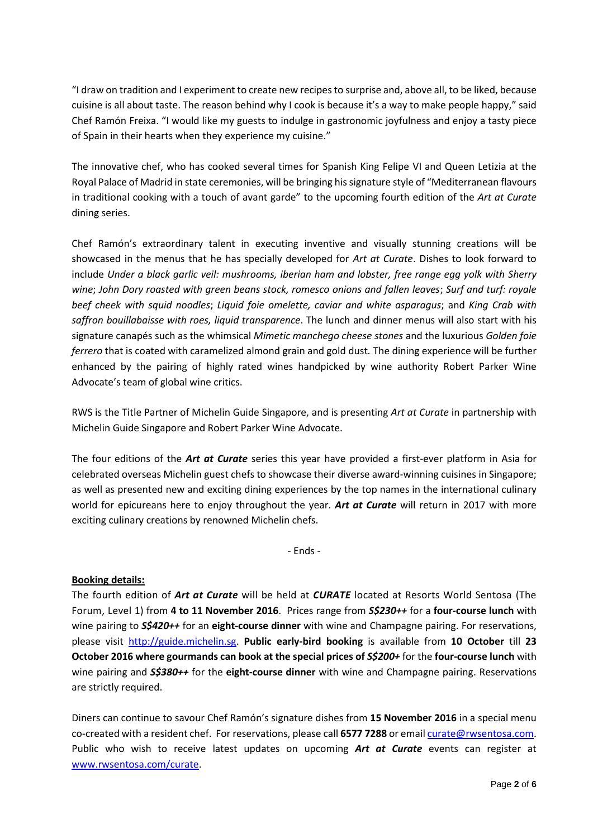"I draw on tradition and I experiment to create new recipes to surprise and, above all, to be liked, because cuisine is all about taste. The reason behind why I cook is because it's a way to make people happy," said Chef Ramón Freixa. "I would like my guests to indulge in gastronomic joyfulness and enjoy a tasty piece of Spain in their hearts when they experience my cuisine."

The innovative chef, who has cooked several times for Spanish King Felipe VI and Queen Letizia at the Royal Palace of Madrid in state ceremonies, will be bringing his signature style of "Mediterranean flavours in traditional cooking with a touch of avant garde" to the upcoming fourth edition of the *Art at Curate* dining series.

Chef Ramón's extraordinary talent in executing inventive and visually stunning creations will be showcased in the menus that he has specially developed for *Art at Curate*. Dishes to look forward to include *Under a black garlic veil: mushrooms, iberian ham and lobster, free range egg yolk with Sherry wine*; *John Dory roasted with green beans stock, romesco onions and fallen leaves*; *Surf and turf: royale beef cheek with squid noodles*; *Liquid foie omelette, caviar and white asparagus*; and *King Crab with saffron bouillabaisse with roes, liquid transparence*. The lunch and dinner menus will also start with his signature canapés such as the whimsical *Mimetic manchego cheese stones* and the luxurious *Golden foie ferrero* that is coated with caramelized almond grain and gold dust*.* The dining experience will be further enhanced by the pairing of highly rated wines handpicked by wine authority Robert Parker Wine Advocate's team of global wine critics.

RWS is the Title Partner of Michelin Guide Singapore, and is presenting *Art at Curate* in partnership with Michelin Guide Singapore and Robert Parker Wine Advocate.

The four editions of the *Art at Curate* series this year have provided a first-ever platform in Asia for celebrated overseas Michelin guest chefs to showcase their diverse award-winning cuisines in Singapore; as well as presented new and exciting dining experiences by the top names in the international culinary world for epicureans here to enjoy throughout the year. *Art at Curate* will return in 2017 with more exciting culinary creations by renowned Michelin chefs.

- Ends -

### **Booking details:**

The fourth edition of *Art at Curate* will be held at *CURATE* located at Resorts World Sentosa (The Forum, Level 1) from **4 to 11 November 2016**. Prices range from *S\$230++* for a **four-course lunch** with wine pairing to *S\$420++* for an **eight-course dinner** with wine and Champagne pairing. For reservations, please visit [http://guide.michelin.sg.](http://guide.michelin.sg/) **Public early-bird booking** is available from **10 October** till **23 October 2016 where gourmands can book at the special prices of** *S\$200+* for the **four-course lunch** with wine pairing and *S\$380++* for the **eight-course dinner** with wine and Champagne pairing. Reservations are strictly required.

Diners can continue to savour Chef Ramón's signature dishes from **15 November 2016** in a special menu co-created with a resident chef. For reservations, please call **6577 7288** or emai[l curate@rwsentosa.com.](mailto:curate@rwsentosa.com) Public who wish to receive latest updates on upcoming *Art at Curate* events can register at [www.rwsentosa.com/curate.](http://www.rwsentosa.com/curate)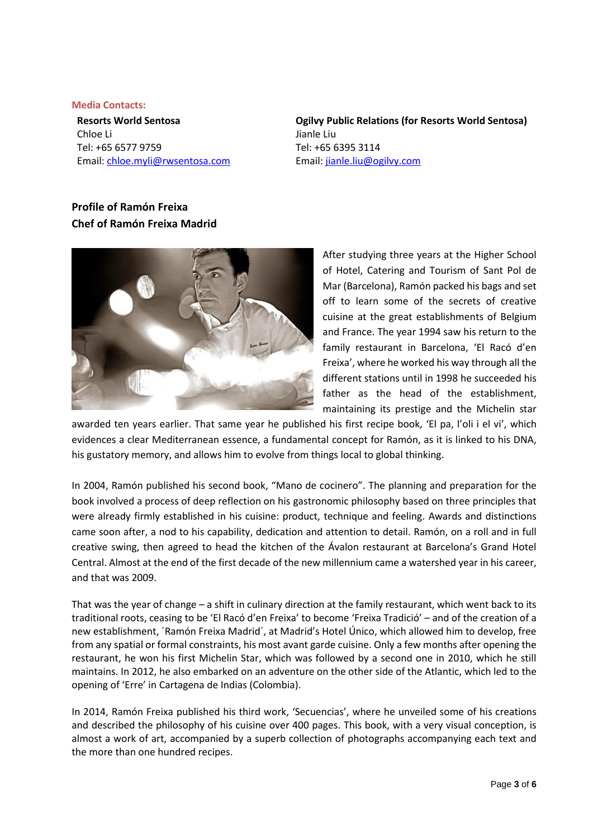#### **Media Contacts:**

**Resorts World Sentosa** Chloe Li Tel: +65 6577 9759 Email: [chloe.myli@rwsentosa.com](mailto:chloe.myli@rwsentosa.com)

**Ogilvy Public Relations (for Resorts World Sentosa)**  Jianle Liu Tel: +65 6395 3114 Email: [jianle.liu@ogilvy.com](mailto:jianle.liu@ogilvy.com)

## **Profile of Ramón Freixa Chef of Ramón Freixa Madrid**



After studying three years at the Higher School of Hotel, Catering and Tourism of Sant Pol de Mar (Barcelona), Ramón packed his bags and set off to learn some of the secrets of creative cuisine at the great establishments of Belgium and France. The year 1994 saw his return to the family restaurant in Barcelona, 'El Racó d'en Freixa', where he worked his way through all the different stations until in 1998 he succeeded his father as the head of the establishment, maintaining its prestige and the Michelin star

awarded ten years earlier. That same year he published his first recipe book, 'El pa, l'oli i el vi', which evidences a clear Mediterranean essence, a fundamental concept for Ramón, as it is linked to his DNA, his gustatory memory, and allows him to evolve from things local to global thinking.

In 2004, Ramón published his second book, "Mano de cocinero". The planning and preparation for the book involved a process of deep reflection on his gastronomic philosophy based on three principles that were already firmly established in his cuisine: product, technique and feeling. Awards and distinctions came soon after, a nod to his capability, dedication and attention to detail. Ramón, on a roll and in full creative swing, then agreed to head the kitchen of the Ávalon restaurant at Barcelona's Grand Hotel Central. Almost at the end of the first decade of the new millennium came a watershed year in his career, and that was 2009.

That was the year of change – a shift in culinary direction at the family restaurant, which went back to its traditional roots, ceasing to be 'El Racó d'en Freixa' to become 'Freixa Tradició' – and of the creation of a new establishment, ´Ramón Freixa Madrid´, at Madrid's Hotel Único, which allowed him to develop, free from any spatial or formal constraints, his most avant garde cuisine. Only a few months after opening the restaurant, he won his first Michelin Star, which was followed by a second one in 2010, which he still maintains. In 2012, he also embarked on an adventure on the other side of the Atlantic, which led to the opening of 'Erre' in Cartagena de Indias (Colombia).

In 2014, Ramón Freixa published his third work, 'Secuencias', where he unveiled some of his creations and described the philosophy of his cuisine over 400 pages. This book, with a very visual conception, is almost a work of art, accompanied by a superb collection of photographs accompanying each text and the more than one hundred recipes.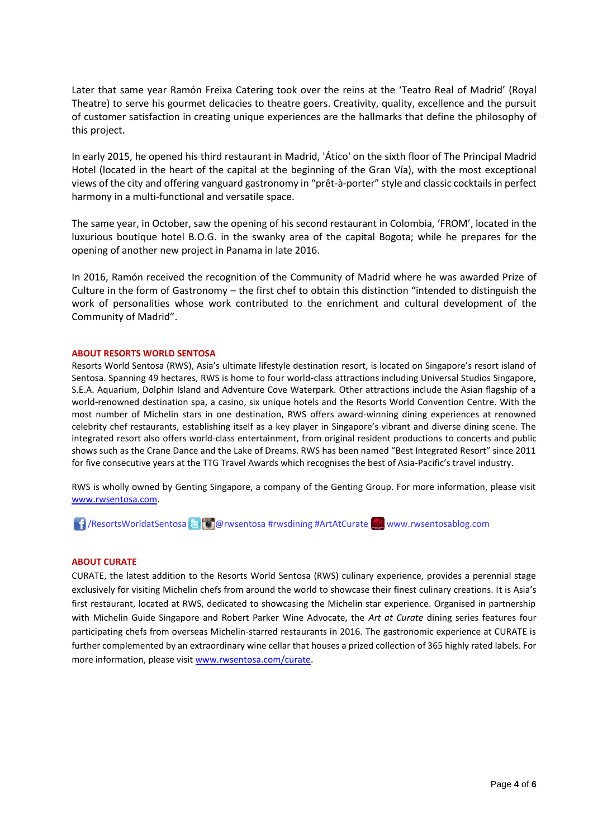Later that same year Ramón Freixa Catering took over the reins at the 'Teatro Real of Madrid' (Royal Theatre) to serve his gourmet delicacies to theatre goers. Creativity, quality, excellence and the pursuit of customer satisfaction in creating unique experiences are the hallmarks that define the philosophy of this project.

In early 2015, he opened his third restaurant in Madrid, 'Ático' on the sixth floor of The Principal Madrid Hotel (located in the heart of the capital at the beginning of the Gran Vía), with the most exceptional views of the city and offering vanguard gastronomy in "prêt-à-porter" style and classic cocktails in perfect harmony in a multi-functional and versatile space.

The same year, in October, saw the opening of his second restaurant in Colombia, 'FROM', located in the luxurious boutique hotel B.O.G. in the swanky area of the capital Bogota; while he prepares for the opening of another new project in Panama in late 2016.

In 2016, Ramón received the recognition of the Community of Madrid where he was awarded Prize of Culture in the form of Gastronomy – the first chef to obtain this distinction "intended to distinguish the work of personalities whose work contributed to the enrichment and cultural development of the Community of Madrid".

#### **ABOUT RESORTS WORLD SENTOSA**

Resorts World Sentosa (RWS), Asia's ultimate lifestyle destination resort, is located on Singapore's resort island of Sentosa. Spanning 49 hectares, RWS is home to four world-class attractions including Universal Studios Singapore, S.E.A. Aquarium, Dolphin Island and Adventure Cove Waterpark. Other attractions include the Asian flagship of a world-renowned destination spa, a casino, six unique hotels and the Resorts World Convention Centre. With the most number of Michelin stars in one destination, RWS offers award-winning dining experiences at renowned celebrity chef restaurants, establishing itself as a key player in Singapore's vibrant and diverse dining scene. The integrated resort also offers world-class entertainment, from original resident productions to concerts and public shows such as the Crane Dance and the Lake of Dreams. RWS has been named "Best Integrated Resort" since 2011 for five consecutive years at the TTG Travel Awards which recognises the best of Asia-Pacific's travel industry.

RWS is wholly owned by Genting Singapore, a company of the Genting Group. For more information, please visit [www.rwsentosa.com.](http://www.rwsentosa.com/)

**16** / ResortsWorldatSentosa **@** @ rwsentosa #rwsdining #ArtAtCurate www.rwsentosablog.com

### **ABOUT CURATE**

CURATE, the latest addition to the Resorts World Sentosa (RWS) culinary experience, provides a perennial stage exclusively for visiting Michelin chefs from around the world to showcase their finest culinary creations. It is Asia's first restaurant, located at RWS, dedicated to showcasing the Michelin star experience. Organised in partnership with Michelin Guide Singapore and Robert Parker Wine Advocate, the *Art at Curate* dining series features four participating chefs from overseas Michelin-starred restaurants in 2016. The gastronomic experience at CURATE is further complemented by an extraordinary wine cellar that houses a prized collection of 365 highly rated labels. For more information, please visit [www.rwsentosa.com/curate.](http://www.rwsentosa.com/curate)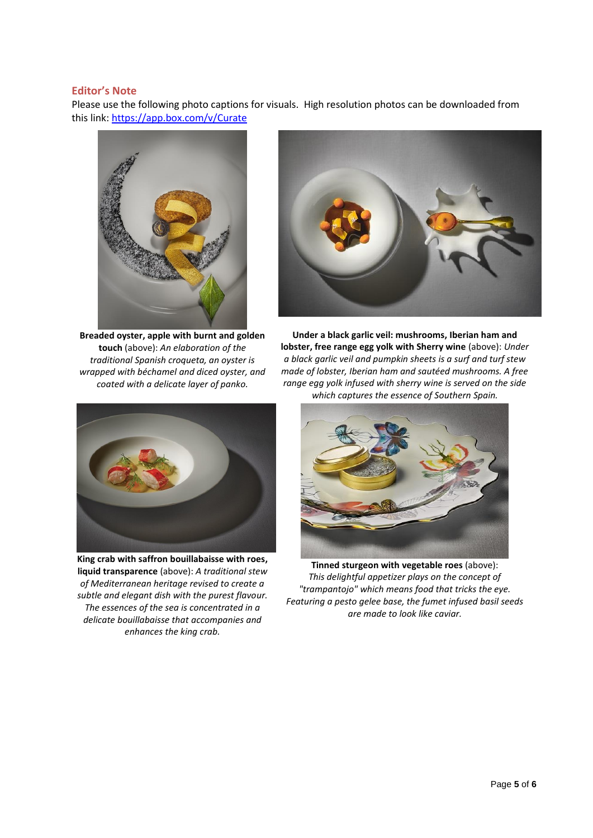### **Editor's Note**

Please use the following photo captions for visuals. High resolution photos can be downloaded from this link:<https://app.box.com/v/Curate>



**Breaded oyster, apple with burnt and golden touch** (above): *An elaboration of the traditional Spanish croqueta, an oyster is wrapped with béchamel and diced oyster, and coated with a delicate layer of panko.* 



**Under a black garlic veil: mushrooms, Iberian ham and lobster, free range egg yolk with Sherry wine** (above): *Under a black garlic veil and pumpkin sheets is a surf and turf stew made of lobster, Iberian ham and sautéed mushrooms. A free range egg yolk infused with sherry wine is served on the side which captures the essence of Southern Spain.*



**King crab with saffron bouillabaisse with roes, liquid transparence** (above): *A traditional stew of Mediterranean heritage revised to create a subtle and elegant dish with the purest flavour. The essences of the sea is concentrated in a delicate bouillabaisse that accompanies and enhances the king crab.*



**Tinned sturgeon with vegetable roes** (above): *This delightful appetizer plays on the concept of "trampantojo" which means food that tricks the eye. Featuring a pesto gelee base, the fumet infused basil seeds are made to look like caviar.*